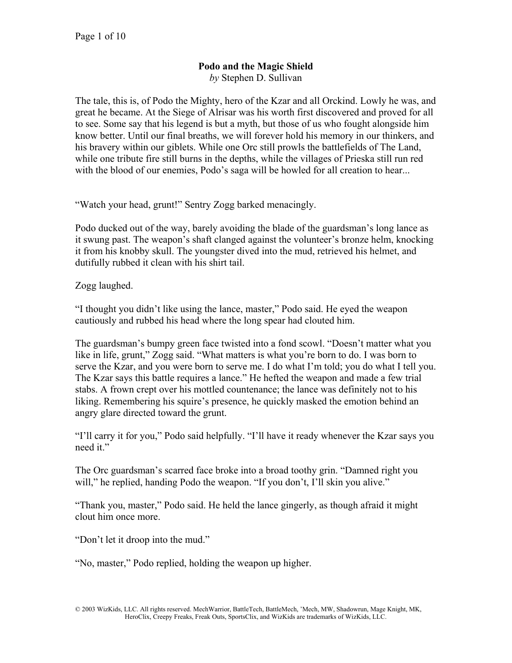## **Podo and the Magic Shield**  *by* Stephen D. Sullivan

The tale, this is, of Podo the Mighty, hero of the Kzar and all Orckind. Lowly he was, and great he became. At the Siege of Alrisar was his worth first discovered and proved for all to see. Some say that his legend is but a myth, but those of us who fought alongside him know better. Until our final breaths, we will forever hold his memory in our thinkers, and his bravery within our giblets. While one Orc still prowls the battlefields of The Land, while one tribute fire still burns in the depths, while the villages of Prieska still run red with the blood of our enemies, Podo's saga will be howled for all creation to hear...

"Watch your head, grunt!" Sentry Zogg barked menacingly.

Podo ducked out of the way, barely avoiding the blade of the guardsman's long lance as it swung past. The weapon's shaft clanged against the volunteer's bronze helm, knocking it from his knobby skull. The youngster dived into the mud, retrieved his helmet, and dutifully rubbed it clean with his shirt tail.

Zogg laughed.

"I thought you didn't like using the lance, master," Podo said. He eyed the weapon cautiously and rubbed his head where the long spear had clouted him.

The guardsman's bumpy green face twisted into a fond scowl. "Doesn't matter what you like in life, grunt," Zogg said. "What matters is what you're born to do. I was born to serve the Kzar, and you were born to serve me. I do what I'm told; you do what I tell you. The Kzar says this battle requires a lance." He hefted the weapon and made a few trial stabs. A frown crept over his mottled countenance; the lance was definitely not to his liking. Remembering his squire's presence, he quickly masked the emotion behind an angry glare directed toward the grunt.

"I'll carry it for you," Podo said helpfully. "I'll have it ready whenever the Kzar says you need it."

The Orc guardsman's scarred face broke into a broad toothy grin. "Damned right you will," he replied, handing Podo the weapon. "If you don't, I'll skin you alive."

"Thank you, master," Podo said. He held the lance gingerly, as though afraid it might clout him once more.

"Don't let it droop into the mud."

"No, master," Podo replied, holding the weapon up higher.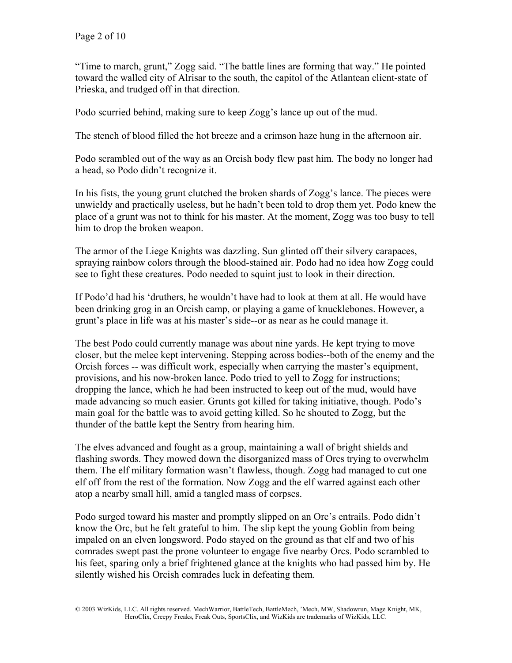"Time to march, grunt," Zogg said. "The battle lines are forming that way." He pointed toward the walled city of Alrisar to the south, the capitol of the Atlantean client-state of Prieska, and trudged off in that direction.

Podo scurried behind, making sure to keep Zogg's lance up out of the mud.

The stench of blood filled the hot breeze and a crimson haze hung in the afternoon air.

Podo scrambled out of the way as an Orcish body flew past him. The body no longer had a head, so Podo didn't recognize it.

In his fists, the young grunt clutched the broken shards of Zogg's lance. The pieces were unwieldy and practically useless, but he hadn't been told to drop them yet. Podo knew the place of a grunt was not to think for his master. At the moment, Zogg was too busy to tell him to drop the broken weapon.

The armor of the Liege Knights was dazzling. Sun glinted off their silvery carapaces, spraying rainbow colors through the blood-stained air. Podo had no idea how Zogg could see to fight these creatures. Podo needed to squint just to look in their direction.

If Podo'd had his 'druthers, he wouldn't have had to look at them at all. He would have been drinking grog in an Orcish camp, or playing a game of knucklebones. However, a grunt's place in life was at his master's side--or as near as he could manage it.

The best Podo could currently manage was about nine yards. He kept trying to move closer, but the melee kept intervening. Stepping across bodies--both of the enemy and the Orcish forces -- was difficult work, especially when carrying the master's equipment, provisions, and his now-broken lance. Podo tried to yell to Zogg for instructions; dropping the lance, which he had been instructed to keep out of the mud, would have made advancing so much easier. Grunts got killed for taking initiative, though. Podo's main goal for the battle was to avoid getting killed. So he shouted to Zogg, but the thunder of the battle kept the Sentry from hearing him.

The elves advanced and fought as a group, maintaining a wall of bright shields and flashing swords. They mowed down the disorganized mass of Orcs trying to overwhelm them. The elf military formation wasn't flawless, though. Zogg had managed to cut one elf off from the rest of the formation. Now Zogg and the elf warred against each other atop a nearby small hill, amid a tangled mass of corpses.

Podo surged toward his master and promptly slipped on an Orc's entrails. Podo didn't know the Orc, but he felt grateful to him. The slip kept the young Goblin from being impaled on an elven longsword. Podo stayed on the ground as that elf and two of his comrades swept past the prone volunteer to engage five nearby Orcs. Podo scrambled to his feet, sparing only a brief frightened glance at the knights who had passed him by. He silently wished his Orcish comrades luck in defeating them.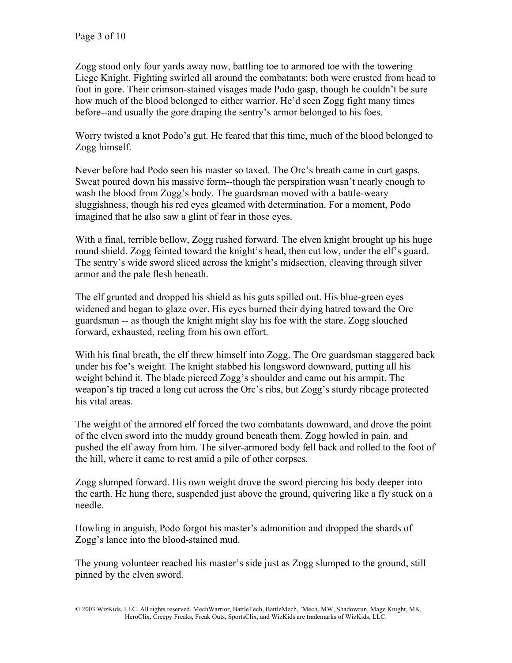Zogg stood only four yards away now, battling toe to armored toe with the towering Liege Knight. Fighting swirled all around the combatants; both were crusted from head to foot in gore. Their crimson-stained visages made Podo gasp, though he couldn't be sure how much of the blood belonged to either warrior. He'd seen Zogg fight many times before--and usually the gore draping the sentry's armor belonged to his foes.

Worry twisted a knot Podo's gut. He feared that this time, much of the blood belonged to Zogg himself.

Never before had Podo seen his master so taxed. The Orc's breath came in curt gasps. Sweat poured down his massive form--though the perspiration wasn't nearly enough to wash the blood from Zogg's body. The guardsman moved with a battle-weary sluggishness, though his red eyes gleamed with determination. For a moment, Podo imagined that he also saw a glint of fear in those eyes.

With a final, terrible bellow, Zogg rushed forward. The elven knight brought up his huge round shield. Zogg feinted toward the knight's head, then cut low, under the elf's guard. The sentry's wide sword sliced across the knight's midsection, cleaving through silver armor and the pale flesh beneath.

The elf grunted and dropped his shield as his guts spilled out. His blue-green eyes widened and began to glaze over. His eyes burned their dying hatred toward the Orc guardsman -- as though the knight might slay his foe with the stare. Zogg slouched forward, exhausted, reeling from his own effort.

With his final breath, the elf threw himself into Zogg. The Orc guardsman staggered back under his foe's weight. The knight stabbed his longsword downward, putting all his weight behind it. The blade pierced Zogg's shoulder and came out his armpit. The weapon's tip traced a long cut across the Orc's ribs, but Zogg's sturdy ribcage protected his vital areas.

The weight of the armored elf forced the two combatants downward, and drove the point of the elven sword into the muddy ground beneath them. Zogg howled in pain, and pushed the elf away from him. The silver-armored body fell back and rolled to the foot of the hill, where it came to rest amid a pile of other corpses.

Zogg slumped forward. His own weight drove the sword piercing his body deeper into the earth. He hung there, suspended just above the ground, quivering like a fly stuck on a needle.

Howling in anguish, Podo forgot his master's admonition and dropped the shards of Zogg's lance into the blood-stained mud.

The young volunteer reached his master's side just as Zogg slumped to the ground, still pinned by the elven sword.

<sup>© 2003</sup> WizKids, LLC. All rights reserved. MechWarrior, BattleTech, BattleMech, 'Mech, MW, Shadowrun, Mage Knight, MK, HeroClix, Creepy Freaks, Freak Outs, SportsClix, and WizKids are trademarks of WizKids, LLC.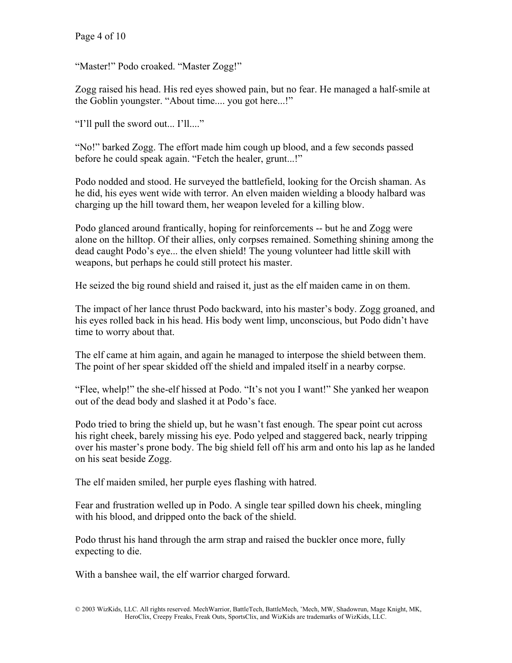"Master!" Podo croaked. "Master Zogg!"

Zogg raised his head. His red eyes showed pain, but no fear. He managed a half-smile at the Goblin youngster. "About time.... you got here...!"

"I'll pull the sword out... I'll...."

"No!" barked Zogg. The effort made him cough up blood, and a few seconds passed before he could speak again. "Fetch the healer, grunt...!"

Podo nodded and stood. He surveyed the battlefield, looking for the Orcish shaman. As he did, his eyes went wide with terror. An elven maiden wielding a bloody halbard was charging up the hill toward them, her weapon leveled for a killing blow.

Podo glanced around frantically, hoping for reinforcements -- but he and Zogg were alone on the hilltop. Of their allies, only corpses remained. Something shining among the dead caught Podo's eye... the elven shield! The young volunteer had little skill with weapons, but perhaps he could still protect his master.

He seized the big round shield and raised it, just as the elf maiden came in on them.

The impact of her lance thrust Podo backward, into his master's body. Zogg groaned, and his eyes rolled back in his head. His body went limp, unconscious, but Podo didn't have time to worry about that.

The elf came at him again, and again he managed to interpose the shield between them. The point of her spear skidded off the shield and impaled itself in a nearby corpse.

"Flee, whelp!" the she-elf hissed at Podo. "It's not you I want!" She yanked her weapon out of the dead body and slashed it at Podo's face.

Podo tried to bring the shield up, but he wasn't fast enough. The spear point cut across his right cheek, barely missing his eye. Podo yelped and staggered back, nearly tripping over his master's prone body. The big shield fell off his arm and onto his lap as he landed on his seat beside Zogg.

The elf maiden smiled, her purple eyes flashing with hatred.

Fear and frustration welled up in Podo. A single tear spilled down his cheek, mingling with his blood, and dripped onto the back of the shield.

Podo thrust his hand through the arm strap and raised the buckler once more, fully expecting to die.

With a banshee wail, the elf warrior charged forward.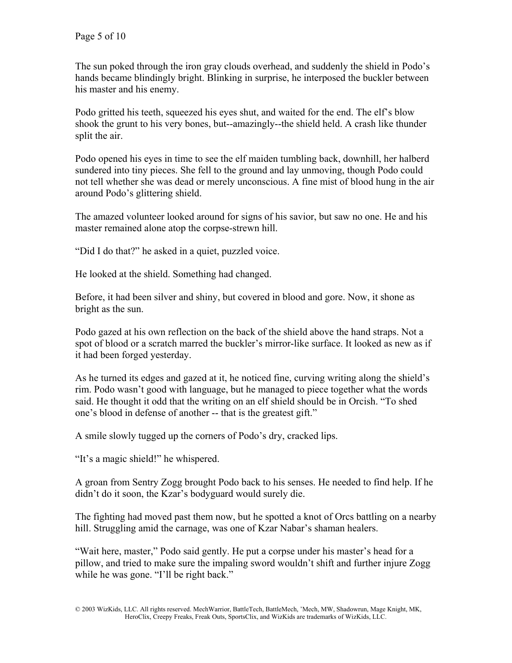The sun poked through the iron gray clouds overhead, and suddenly the shield in Podo's hands became blindingly bright. Blinking in surprise, he interposed the buckler between his master and his enemy.

Podo gritted his teeth, squeezed his eyes shut, and waited for the end. The elf's blow shook the grunt to his very bones, but--amazingly--the shield held. A crash like thunder split the air.

Podo opened his eyes in time to see the elf maiden tumbling back, downhill, her halberd sundered into tiny pieces. She fell to the ground and lay unmoving, though Podo could not tell whether she was dead or merely unconscious. A fine mist of blood hung in the air around Podo's glittering shield.

The amazed volunteer looked around for signs of his savior, but saw no one. He and his master remained alone atop the corpse-strewn hill.

"Did I do that?" he asked in a quiet, puzzled voice.

He looked at the shield. Something had changed.

Before, it had been silver and shiny, but covered in blood and gore. Now, it shone as bright as the sun.

Podo gazed at his own reflection on the back of the shield above the hand straps. Not a spot of blood or a scratch marred the buckler's mirror-like surface. It looked as new as if it had been forged yesterday.

As he turned its edges and gazed at it, he noticed fine, curving writing along the shield's rim. Podo wasn't good with language, but he managed to piece together what the words said. He thought it odd that the writing on an elf shield should be in Orcish. "To shed one's blood in defense of another -- that is the greatest gift."

A smile slowly tugged up the corners of Podo's dry, cracked lips.

"It's a magic shield!" he whispered.

A groan from Sentry Zogg brought Podo back to his senses. He needed to find help. If he didn't do it soon, the Kzar's bodyguard would surely die.

The fighting had moved past them now, but he spotted a knot of Orcs battling on a nearby hill. Struggling amid the carnage, was one of Kzar Nabar's shaman healers.

"Wait here, master," Podo said gently. He put a corpse under his master's head for a pillow, and tried to make sure the impaling sword wouldn't shift and further injure Zogg while he was gone. "I'll be right back."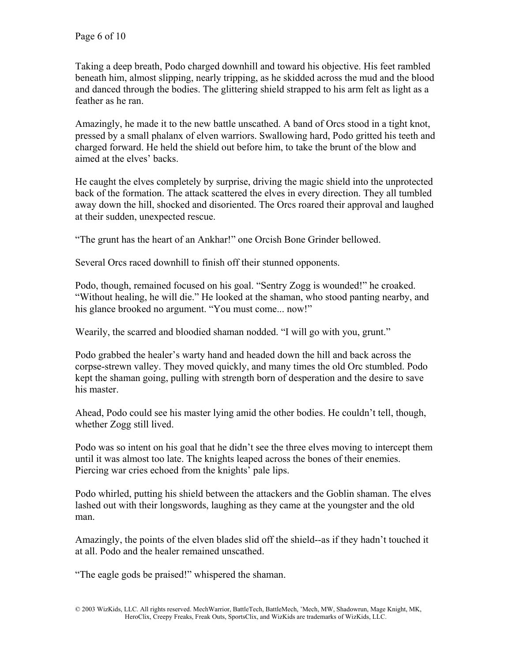Taking a deep breath, Podo charged downhill and toward his objective. His feet rambled beneath him, almost slipping, nearly tripping, as he skidded across the mud and the blood and danced through the bodies. The glittering shield strapped to his arm felt as light as a feather as he ran.

Amazingly, he made it to the new battle unscathed. A band of Orcs stood in a tight knot, pressed by a small phalanx of elven warriors. Swallowing hard, Podo gritted his teeth and charged forward. He held the shield out before him, to take the brunt of the blow and aimed at the elves' backs.

He caught the elves completely by surprise, driving the magic shield into the unprotected back of the formation. The attack scattered the elves in every direction. They all tumbled away down the hill, shocked and disoriented. The Orcs roared their approval and laughed at their sudden, unexpected rescue.

"The grunt has the heart of an Ankhar!" one Orcish Bone Grinder bellowed.

Several Orcs raced downhill to finish off their stunned opponents.

Podo, though, remained focused on his goal. "Sentry Zogg is wounded!" he croaked. "Without healing, he will die." He looked at the shaman, who stood panting nearby, and his glance brooked no argument. "You must come... now!"

Wearily, the scarred and bloodied shaman nodded. "I will go with you, grunt."

Podo grabbed the healer's warty hand and headed down the hill and back across the corpse-strewn valley. They moved quickly, and many times the old Orc stumbled. Podo kept the shaman going, pulling with strength born of desperation and the desire to save his master.

Ahead, Podo could see his master lying amid the other bodies. He couldn't tell, though, whether Zogg still lived.

Podo was so intent on his goal that he didn't see the three elves moving to intercept them until it was almost too late. The knights leaped across the bones of their enemies. Piercing war cries echoed from the knights' pale lips.

Podo whirled, putting his shield between the attackers and the Goblin shaman. The elves lashed out with their longswords, laughing as they came at the youngster and the old man.

Amazingly, the points of the elven blades slid off the shield--as if they hadn't touched it at all. Podo and the healer remained unscathed.

"The eagle gods be praised!" whispered the shaman.

<sup>© 2003</sup> WizKids, LLC. All rights reserved. MechWarrior, BattleTech, BattleMech, 'Mech, MW, Shadowrun, Mage Knight, MK, HeroClix, Creepy Freaks, Freak Outs, SportsClix, and WizKids are trademarks of WizKids, LLC.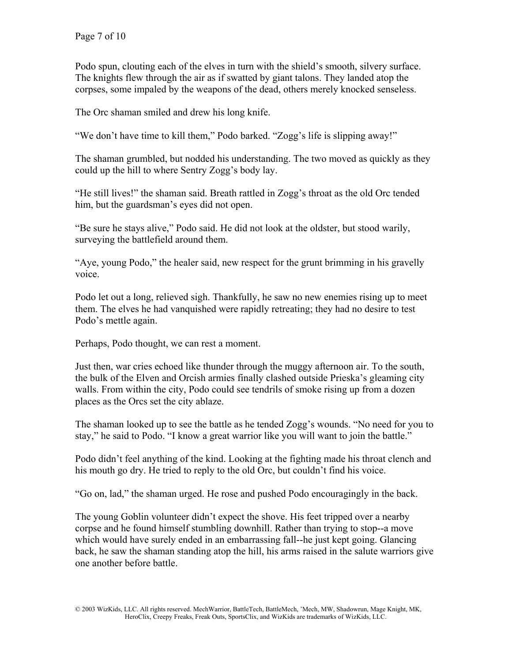Podo spun, clouting each of the elves in turn with the shield's smooth, silvery surface. The knights flew through the air as if swatted by giant talons. They landed atop the corpses, some impaled by the weapons of the dead, others merely knocked senseless.

The Orc shaman smiled and drew his long knife.

"We don't have time to kill them," Podo barked. "Zogg's life is slipping away!"

The shaman grumbled, but nodded his understanding. The two moved as quickly as they could up the hill to where Sentry Zogg's body lay.

"He still lives!" the shaman said. Breath rattled in Zogg's throat as the old Orc tended him, but the guardsman's eyes did not open.

"Be sure he stays alive," Podo said. He did not look at the oldster, but stood warily, surveying the battlefield around them.

"Aye, young Podo," the healer said, new respect for the grunt brimming in his gravelly voice.

Podo let out a long, relieved sigh. Thankfully, he saw no new enemies rising up to meet them. The elves he had vanquished were rapidly retreating; they had no desire to test Podo's mettle again.

Perhaps, Podo thought, we can rest a moment.

Just then, war cries echoed like thunder through the muggy afternoon air. To the south, the bulk of the Elven and Orcish armies finally clashed outside Prieska's gleaming city walls. From within the city, Podo could see tendrils of smoke rising up from a dozen places as the Orcs set the city ablaze.

The shaman looked up to see the battle as he tended Zogg's wounds. "No need for you to stay," he said to Podo. "I know a great warrior like you will want to join the battle."

Podo didn't feel anything of the kind. Looking at the fighting made his throat clench and his mouth go dry. He tried to reply to the old Orc, but couldn't find his voice.

"Go on, lad," the shaman urged. He rose and pushed Podo encouragingly in the back.

The young Goblin volunteer didn't expect the shove. His feet tripped over a nearby corpse and he found himself stumbling downhill. Rather than trying to stop--a move which would have surely ended in an embarrassing fall--he just kept going. Glancing back, he saw the shaman standing atop the hill, his arms raised in the salute warriors give one another before battle.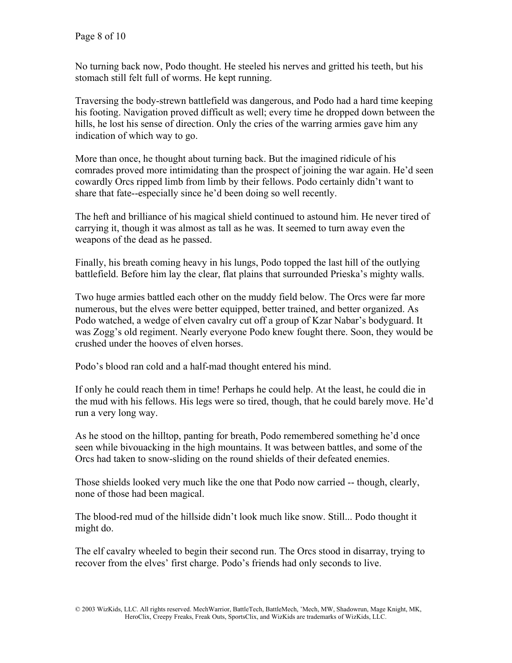No turning back now, Podo thought. He steeled his nerves and gritted his teeth, but his stomach still felt full of worms. He kept running.

Traversing the body-strewn battlefield was dangerous, and Podo had a hard time keeping his footing. Navigation proved difficult as well; every time he dropped down between the hills, he lost his sense of direction. Only the cries of the warring armies gave him any indication of which way to go.

More than once, he thought about turning back. But the imagined ridicule of his comrades proved more intimidating than the prospect of joining the war again. He'd seen cowardly Orcs ripped limb from limb by their fellows. Podo certainly didn't want to share that fate--especially since he'd been doing so well recently.

The heft and brilliance of his magical shield continued to astound him. He never tired of carrying it, though it was almost as tall as he was. It seemed to turn away even the weapons of the dead as he passed.

Finally, his breath coming heavy in his lungs, Podo topped the last hill of the outlying battlefield. Before him lay the clear, flat plains that surrounded Prieska's mighty walls.

Two huge armies battled each other on the muddy field below. The Orcs were far more numerous, but the elves were better equipped, better trained, and better organized. As Podo watched, a wedge of elven cavalry cut off a group of Kzar Nabar's bodyguard. It was Zogg's old regiment. Nearly everyone Podo knew fought there. Soon, they would be crushed under the hooves of elven horses.

Podo's blood ran cold and a half-mad thought entered his mind.

If only he could reach them in time! Perhaps he could help. At the least, he could die in the mud with his fellows. His legs were so tired, though, that he could barely move. He'd run a very long way.

As he stood on the hilltop, panting for breath, Podo remembered something he'd once seen while bivouacking in the high mountains. It was between battles, and some of the Orcs had taken to snow-sliding on the round shields of their defeated enemies.

Those shields looked very much like the one that Podo now carried -- though, clearly, none of those had been magical.

The blood-red mud of the hillside didn't look much like snow. Still... Podo thought it might do.

The elf cavalry wheeled to begin their second run. The Orcs stood in disarray, trying to recover from the elves' first charge. Podo's friends had only seconds to live.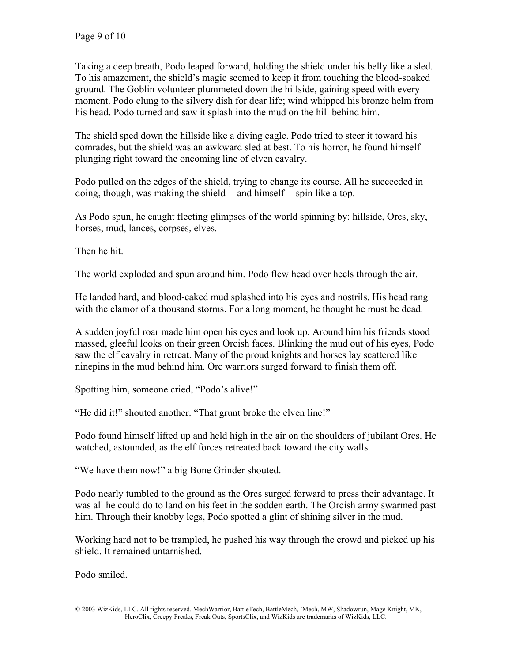Taking a deep breath, Podo leaped forward, holding the shield under his belly like a sled. To his amazement, the shield's magic seemed to keep it from touching the blood-soaked ground. The Goblin volunteer plummeted down the hillside, gaining speed with every moment. Podo clung to the silvery dish for dear life; wind whipped his bronze helm from his head. Podo turned and saw it splash into the mud on the hill behind him.

The shield sped down the hillside like a diving eagle. Podo tried to steer it toward his comrades, but the shield was an awkward sled at best. To his horror, he found himself plunging right toward the oncoming line of elven cavalry.

Podo pulled on the edges of the shield, trying to change its course. All he succeeded in doing, though, was making the shield -- and himself -- spin like a top.

As Podo spun, he caught fleeting glimpses of the world spinning by: hillside, Orcs, sky, horses, mud, lances, corpses, elves.

Then he hit.

The world exploded and spun around him. Podo flew head over heels through the air.

He landed hard, and blood-caked mud splashed into his eyes and nostrils. His head rang with the clamor of a thousand storms. For a long moment, he thought he must be dead.

A sudden joyful roar made him open his eyes and look up. Around him his friends stood massed, gleeful looks on their green Orcish faces. Blinking the mud out of his eyes, Podo saw the elf cavalry in retreat. Many of the proud knights and horses lay scattered like ninepins in the mud behind him. Orc warriors surged forward to finish them off.

Spotting him, someone cried, "Podo's alive!"

"He did it!" shouted another. "That grunt broke the elven line!"

Podo found himself lifted up and held high in the air on the shoulders of jubilant Orcs. He watched, astounded, as the elf forces retreated back toward the city walls.

"We have them now!" a big Bone Grinder shouted.

Podo nearly tumbled to the ground as the Orcs surged forward to press their advantage. It was all he could do to land on his feet in the sodden earth. The Orcish army swarmed past him. Through their knobby legs, Podo spotted a glint of shining silver in the mud.

Working hard not to be trampled, he pushed his way through the crowd and picked up his shield. It remained untarnished.

Podo smiled.